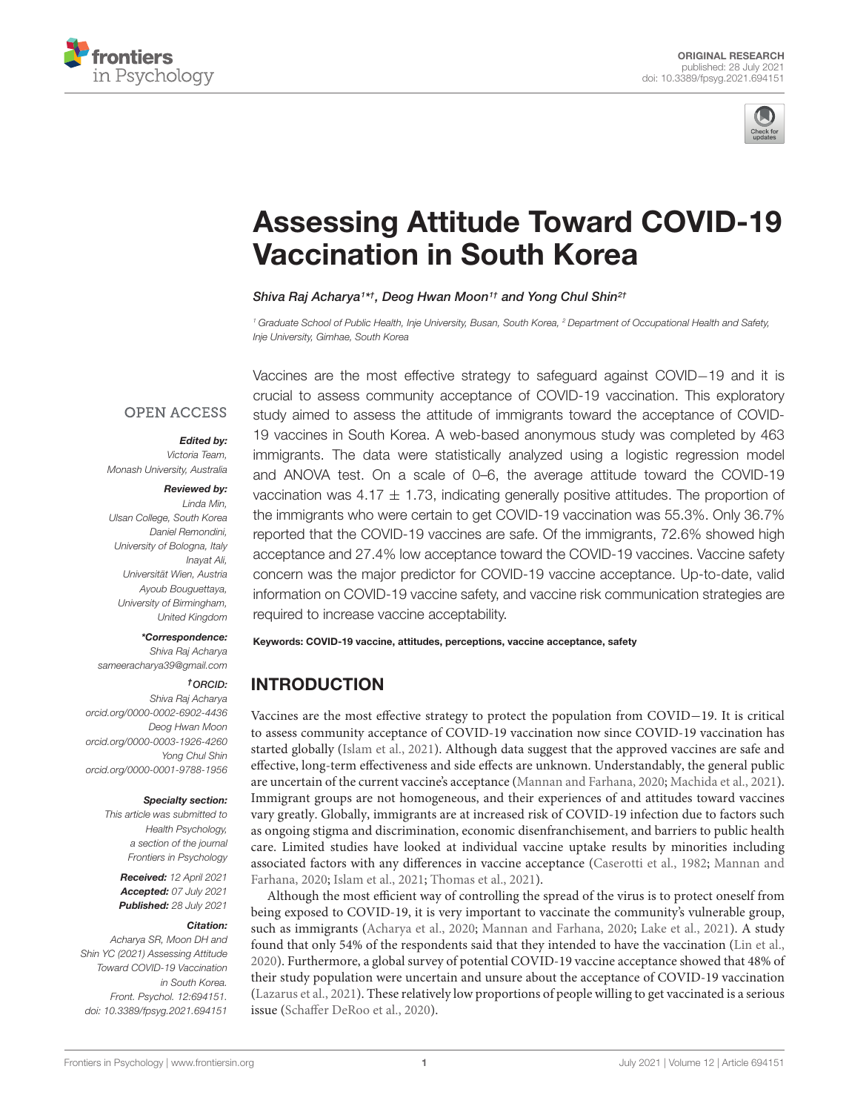



# [Assessing Attitude Toward COVID-19](https://www.frontiersin.org/articles/10.3389/fpsyg.2021.694151/full) Vaccination in South Korea

Shiva Raj Acharya<sup>1\*†</sup>, Deog Hwan Moon<sup>1†</sup> and Yong Chul Shin<sup>2†</sup>

<sup>1</sup> Graduate School of Public Health, Inje University, Busan, South Korea, <sup>2</sup> Department of Occupational Health and Safety, Inje University, Gimhae, South Korea

## **OPEN ACCESS**

### Edited by:

Victoria Team, Monash University, Australia

#### Reviewed by:

Linda Min, Ulsan College, South Korea Daniel Remondini, University of Bologna, Italy Inayat Ali, Universität Wien, Austria Ayoub Bouguettaya, University of Birmingham, United Kingdom

#### \*Correspondence:

Shiva Raj Acharya sameeracharya39@gmail.com

## †ORCID:

Shiva Raj Acharya [orcid.org/0000-0002-6902-4436](http://orcid.org/0000-0002-6902-4436) Deog Hwan Moon [orcid.org/0000-0003-1926-4260](http://orcid.org/0000-0003-1926-4260) Yong Chul Shin [orcid.org/0000-0001-9788-1956](http://orcid.org/0000-0001-9788-1956)

#### Specialty section:

This article was submitted to Health Psychology, a section of the journal Frontiers in Psychology

Received: 12 April 2021 Accepted: 07 July 2021 Published: 28 July 2021

#### Citation:

Acharya SR, Moon DH and Shin YC (2021) Assessing Attitude Toward COVID-19 Vaccination in South Korea. Front. Psychol. 12:694151. doi: [10.3389/fpsyg.2021.694151](https://doi.org/10.3389/fpsyg.2021.694151)

Vaccines are the most effective strategy to safeguard against COVID−19 and it is crucial to assess community acceptance of COVID-19 vaccination. This exploratory study aimed to assess the attitude of immigrants toward the acceptance of COVID-19 vaccines in South Korea. A web-based anonymous study was completed by 463 immigrants. The data were statistically analyzed using a logistic regression model and ANOVA test. On a scale of 0–6, the average attitude toward the COVID-19 vaccination was 4.17  $\pm$  1.73, indicating generally positive attitudes. The proportion of the immigrants who were certain to get COVID-19 vaccination was 55.3%. Only 36.7% reported that the COVID-19 vaccines are safe. Of the immigrants, 72.6% showed high acceptance and 27.4% low acceptance toward the COVID-19 vaccines. Vaccine safety concern was the major predictor for COVID-19 vaccine acceptance. Up-to-date, valid information on COVID-19 vaccine safety, and vaccine risk communication strategies are required to increase vaccine acceptability.

Keywords: COVID-19 vaccine, attitudes, perceptions, vaccine acceptance, safety

# INTRODUCTION

Vaccines are the most effective strategy to protect the population from COVID−19. It is critical to assess community acceptance of COVID-19 vaccination now since COVID-19 vaccination has started globally [\(Islam et al.,](#page-4-0) [2021\)](#page-4-0). Although data suggest that the approved vaccines are safe and effective, long-term effectiveness and side effects are unknown. Understandably, the general public are uncertain of the current vaccine's acceptance [\(Mannan and Farhana,](#page-5-0) [2020;](#page-5-0) [Machida et al.,](#page-5-1) [2021\)](#page-5-1). Immigrant groups are not homogeneous, and their experiences of and attitudes toward vaccines vary greatly. Globally, immigrants are at increased risk of COVID-19 infection due to factors such as ongoing stigma and discrimination, economic disenfranchisement, and barriers to public health care. Limited studies have looked at individual vaccine uptake results by minorities including associated factors with any differences in vaccine acceptance [\(Caserotti et al.,](#page-4-1) [1982;](#page-4-1) [Mannan and](#page-5-0) [Farhana,](#page-5-0) [2020;](#page-5-0) [Islam et al.,](#page-4-0) [2021;](#page-4-0) [Thomas et al.,](#page-5-2) [2021\)](#page-5-2).

Although the most efficient way of controlling the spread of the virus is to protect oneself from being exposed to COVID-19, it is very important to vaccinate the community's vulnerable group, such as immigrants [\(Acharya et al.,](#page-4-2) [2020;](#page-4-2) [Mannan and Farhana,](#page-5-0) [2020;](#page-5-0) [Lake et al.,](#page-5-3) [2021\)](#page-5-3). A study found that only 54% of the respondents said that they intended to have the vaccination [\(Lin et al.,](#page-5-4) [2020\)](#page-5-4). Furthermore, a global survey of potential COVID-19 vaccine acceptance showed that 48% of their study population were uncertain and unsure about the acceptance of COVID-19 vaccination [\(Lazarus et al.,](#page-5-5) [2021\)](#page-5-5). These relatively low proportions of people willing to get vaccinated is a serious issue [\(Schaffer DeRoo et al.,](#page-5-6) [2020\)](#page-5-6).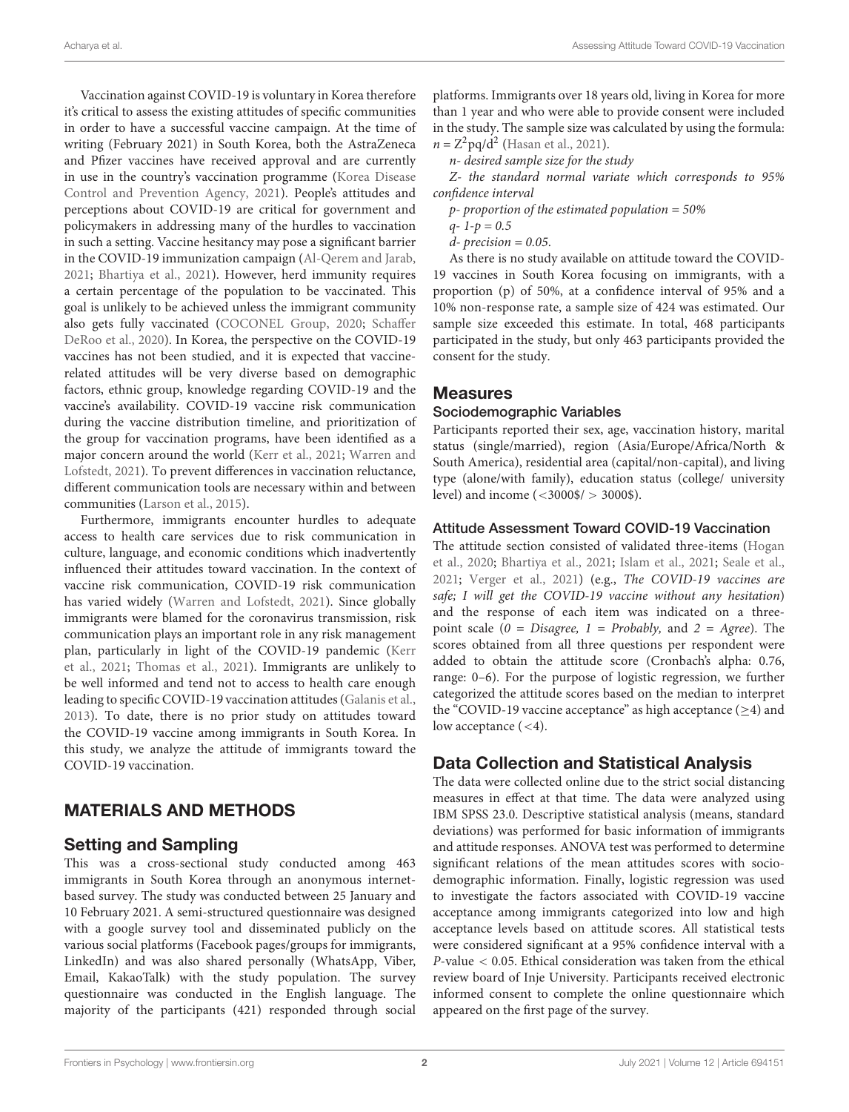Vaccination against COVID-19 is voluntary in Korea therefore it's critical to assess the existing attitudes of specific communities in order to have a successful vaccine campaign. At the time of writing (February 2021) in South Korea, both the AstraZeneca and Pfizer vaccines have received approval and are currently in use in the country's vaccination programme [\(Korea Disease](#page-4-3) [Control and Prevention Agency,](#page-4-3) [2021\)](#page-4-3). People's attitudes and perceptions about COVID-19 are critical for government and policymakers in addressing many of the hurdles to vaccination in such a setting. Vaccine hesitancy may pose a significant barrier in the COVID-19 immunization campaign [\(Al-Qerem and Jarab,](#page-4-4) [2021;](#page-4-4) [Bhartiya et al.,](#page-4-5) [2021\)](#page-4-5). However, herd immunity requires a certain percentage of the population to be vaccinated. This goal is unlikely to be achieved unless the immigrant community also gets fully vaccinated [\(COCONEL Group,](#page-4-6) [2020;](#page-4-6) [Schaffer](#page-5-6) [DeRoo et al.,](#page-5-6) [2020\)](#page-5-6). In Korea, the perspective on the COVID-19 vaccines has not been studied, and it is expected that vaccinerelated attitudes will be very diverse based on demographic factors, ethnic group, knowledge regarding COVID-19 and the vaccine's availability. COVID-19 vaccine risk communication during the vaccine distribution timeline, and prioritization of the group for vaccination programs, have been identified as a major concern around the world [\(Kerr et al.,](#page-4-7) [2021;](#page-4-7) [Warren and](#page-5-7) [Lofstedt,](#page-5-7) [2021\)](#page-5-7). To prevent differences in vaccination reluctance, different communication tools are necessary within and between communities [\(Larson et al.,](#page-5-8) [2015\)](#page-5-8).

Furthermore, immigrants encounter hurdles to adequate access to health care services due to risk communication in culture, language, and economic conditions which inadvertently influenced their attitudes toward vaccination. In the context of vaccine risk communication, COVID-19 risk communication has varied widely [\(Warren and Lofstedt,](#page-5-7) [2021\)](#page-5-7). Since globally immigrants were blamed for the coronavirus transmission, risk communication plays an important role in any risk management plan, particularly in light of the COVID-19 pandemic [\(Kerr](#page-4-7) [et al.,](#page-4-7) [2021;](#page-4-7) [Thomas et al.,](#page-5-2) [2021\)](#page-5-2). Immigrants are unlikely to be well informed and tend not to access to health care enough leading to specific COVID-19 vaccination attitudes [\(Galanis et al.,](#page-4-8) [2013\)](#page-4-8). To date, there is no prior study on attitudes toward the COVID-19 vaccine among immigrants in South Korea. In this study, we analyze the attitude of immigrants toward the COVID-19 vaccination.

# MATERIALS AND METHODS

# Setting and Sampling

This was a cross-sectional study conducted among 463 immigrants in South Korea through an anonymous internetbased survey. The study was conducted between 25 January and 10 February 2021. A semi-structured questionnaire was designed with a google survey tool and disseminated publicly on the various social platforms (Facebook pages/groups for immigrants, LinkedIn) and was also shared personally (WhatsApp, Viber, Email, KakaoTalk) with the study population. The survey questionnaire was conducted in the English language. The majority of the participants (421) responded through social

platforms. Immigrants over 18 years old, living in Korea for more than 1 year and who were able to provide consent were included in the study. The sample size was calculated by using the formula:  $n = Z^2 \text{pq/d}^2$  [\(Hasan et al.,](#page-4-9) [2021\)](#page-4-9).

n- desired sample size for the study

Z- the standard normal variate which corresponds to 95% confidence interval

- $p$  proportion of the estimated population = 50%
- $q 1 p = 0.5$
- $d$  precision = 0.05.

As there is no study available on attitude toward the COVID-19 vaccines in South Korea focusing on immigrants, with a proportion (p) of 50%, at a confidence interval of 95% and a 10% non-response rate, a sample size of 424 was estimated. Our sample size exceeded this estimate. In total, 468 participants participated in the study, but only 463 participants provided the consent for the study.

## Measures

## Sociodemographic Variables

Participants reported their sex, age, vaccination history, marital status (single/married), region (Asia/Europe/Africa/North & South America), residential area (capital/non-capital), and living type (alone/with family), education status (college/ university level) and income (<3000\$/ > 3000\$).

## Attitude Assessment Toward COVID-19 Vaccination

The attitude section consisted of validated three-items [\(Hogan](#page-4-10) [et al.,](#page-4-10) [2020;](#page-4-10) [Bhartiya et al.,](#page-4-5) [2021;](#page-4-5) [Islam et al.,](#page-4-0) [2021;](#page-4-0) [Seale et al.,](#page-5-9) [2021;](#page-5-9) [Verger et al.,](#page-5-10) [2021\)](#page-5-10) (e.g., The COVID-19 vaccines are safe; I will get the COVID-19 vaccine without any hesitation) and the response of each item was indicated on a threepoint scale ( $0 = Disagree$ ,  $1 = Probability$ , and  $2 = Agree$ ). The scores obtained from all three questions per respondent were added to obtain the attitude score (Cronbach's alpha: 0.76, range: 0–6). For the purpose of logistic regression, we further categorized the attitude scores based on the median to interpret the "COVID-19 vaccine acceptance" as high acceptance ( $\geq$ 4) and low acceptance  $(< 4)$ .

## Data Collection and Statistical Analysis

The data were collected online due to the strict social distancing measures in effect at that time. The data were analyzed using IBM SPSS 23.0. Descriptive statistical analysis (means, standard deviations) was performed for basic information of immigrants and attitude responses. ANOVA test was performed to determine significant relations of the mean attitudes scores with sociodemographic information. Finally, logistic regression was used to investigate the factors associated with COVID-19 vaccine acceptance among immigrants categorized into low and high acceptance levels based on attitude scores. All statistical tests were considered significant at a 95% confidence interval with a P-value < 0.05. Ethical consideration was taken from the ethical review board of Inje University. Participants received electronic informed consent to complete the online questionnaire which appeared on the first page of the survey.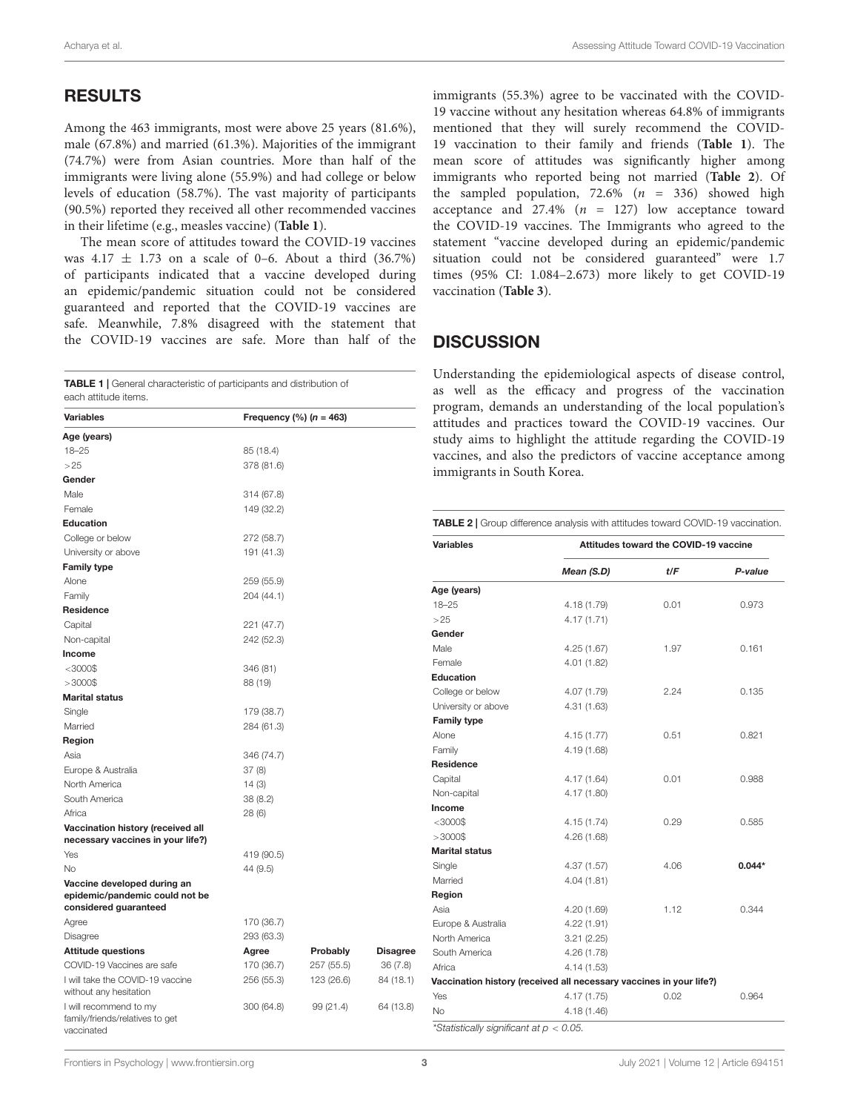## RESULTS

Among the 463 immigrants, most were above 25 years (81.6%), male (67.8%) and married (61.3%). Majorities of the immigrant (74.7%) were from Asian countries. More than half of the immigrants were living alone (55.9%) and had college or below levels of education (58.7%). The vast majority of participants (90.5%) reported they received all other recommended vaccines in their lifetime (e.g., measles vaccine) (**[Table 1](#page-2-0)**).

The mean score of attitudes toward the COVID-19 vaccines was  $4.17 \pm 1.73$  on a scale of 0–6. About a third (36.7%) of participants indicated that a vaccine developed during an epidemic/pandemic situation could not be considered guaranteed and reported that the COVID-19 vaccines are safe. Meanwhile, 7.8% disagreed with the statement that the COVID-19 vaccines are safe. More than half of the

<span id="page-2-0"></span>TABLE 1 | General characteristic of participants and distribution of

| indi docomotiono il pai tioipai ito di idi<br>each attitude items.                     |                         |            |                 |  |  |
|----------------------------------------------------------------------------------------|-------------------------|------------|-----------------|--|--|
| <b>Variables</b>                                                                       | Frequency $% (n = 463)$ |            |                 |  |  |
| Age (years)                                                                            |                         |            |                 |  |  |
| $18 - 25$                                                                              | 85 (18.4)               |            |                 |  |  |
| >25                                                                                    | 378 (81.6)              |            |                 |  |  |
| Gender                                                                                 |                         |            |                 |  |  |
| Male                                                                                   | 314 (67.8)              |            |                 |  |  |
| Female                                                                                 | 149 (32.2)              |            |                 |  |  |
| Education                                                                              |                         |            |                 |  |  |
| College or below                                                                       | 272 (58.7)              |            |                 |  |  |
| University or above                                                                    | 191 (41.3)              |            |                 |  |  |
| <b>Family type</b>                                                                     |                         |            |                 |  |  |
| Alone                                                                                  | 259 (55.9)              |            |                 |  |  |
| Family                                                                                 | 204 (44.1)              |            |                 |  |  |
| Residence                                                                              |                         |            |                 |  |  |
| Capital                                                                                | 221 (47.7)              |            |                 |  |  |
| Non-capital                                                                            | 242 (52.3)              |            |                 |  |  |
| Income                                                                                 |                         |            |                 |  |  |
| $<$ 3000\$                                                                             | 346 (81)                |            |                 |  |  |
| $>3000$ \$                                                                             | 88 (19)                 |            |                 |  |  |
| <b>Marital status</b>                                                                  |                         |            |                 |  |  |
| Single                                                                                 | 179 (38.7)              |            |                 |  |  |
| Married                                                                                | 284 (61.3)              |            |                 |  |  |
| Region                                                                                 |                         |            |                 |  |  |
| Asia                                                                                   | 346 (74.7)              |            |                 |  |  |
| Europe & Australia                                                                     | 37(8)                   |            |                 |  |  |
| North America                                                                          | 14(3)                   |            |                 |  |  |
| South America                                                                          | 38 (8.2)                |            |                 |  |  |
| Africa                                                                                 | 28(6)                   |            |                 |  |  |
| Vaccination history (received all<br>necessary vaccines in your life?)                 |                         |            |                 |  |  |
| Yes                                                                                    | 419 (90.5)              |            |                 |  |  |
| <b>No</b>                                                                              | 44 (9.5)                |            |                 |  |  |
| Vaccine developed during an<br>epidemic/pandemic could not be<br>considered guaranteed |                         |            |                 |  |  |
| Agree                                                                                  | 170 (36.7)              |            |                 |  |  |
| Disagree                                                                               | 293 (63.3)              |            |                 |  |  |
| <b>Attitude questions</b>                                                              | Agree                   | Probably   | <b>Disagree</b> |  |  |
| COVID-19 Vaccines are safe                                                             | 170 (36.7)              | 257 (55.5) | 36(7.8)         |  |  |
| I will take the COVID-19 vaccine<br>without any hesitation                             | 256 (55.3)              | 123 (26.6) | 84 (18.1)       |  |  |
| I will recommend to my<br>family/friends/relatives to get<br>vaccinated                | 300 (64.8)              | 99 (21.4)  | 64 (13.8)       |  |  |

immigrants (55.3%) agree to be vaccinated with the COVID-19 vaccine without any hesitation whereas 64.8% of immigrants mentioned that they will surely recommend the COVID-19 vaccination to their family and friends (**[Table 1](#page-2-0)**). The mean score of attitudes was significantly higher among immigrants who reported being not married (**[Table 2](#page-2-1)**). Of the sampled population,  $72.6\%$  ( $n = 336$ ) showed high acceptance and  $27.4\%$  ( $n = 127$ ) low acceptance toward the COVID-19 vaccines. The Immigrants who agreed to the statement "vaccine developed during an epidemic/pandemic situation could not be considered guaranteed" were 1.7 times (95% CI: 1.084–2.673) more likely to get COVID-19 vaccination (**[Table 3](#page-3-0)**).

## **DISCUSSION**

Understanding the epidemiological aspects of disease control, as well as the efficacy and progress of the vaccination program, demands an understanding of the local population's attitudes and practices toward the COVID-19 vaccines. Our study aims to highlight the attitude regarding the COVID-19 vaccines, and also the predictors of vaccine acceptance among immigrants in South Korea.

<span id="page-2-1"></span>TABLE 2 | Group difference analysis with attitudes toward COVID-19 vaccination.

| <b>Variables</b>                                                    | Attitudes toward the COVID-19 vaccine |      |          |  |  |
|---------------------------------------------------------------------|---------------------------------------|------|----------|--|--|
|                                                                     | Mean (S.D)                            | t/F  | P-value  |  |  |
| Age (years)                                                         |                                       |      |          |  |  |
| $18 - 25$                                                           | 4.18 (1.79)                           | 0.01 | 0.973    |  |  |
| >25                                                                 | 4.17 (1.71)                           |      |          |  |  |
| Gender                                                              |                                       |      |          |  |  |
| Male                                                                | 4.25(1.67)                            | 1.97 | 0.161    |  |  |
| Female                                                              | 4.01 (1.82)                           |      |          |  |  |
| <b>Education</b>                                                    |                                       |      |          |  |  |
| College or below                                                    | 4.07 (1.79)                           | 2.24 | 0.135    |  |  |
| University or above                                                 | 4.31 (1.63)                           |      |          |  |  |
| <b>Family type</b>                                                  |                                       |      |          |  |  |
| Alone                                                               | 4.15(1.77)                            | 0.51 | 0.821    |  |  |
| Family                                                              | 4.19 (1.68)                           |      |          |  |  |
| <b>Residence</b>                                                    |                                       |      |          |  |  |
| Capital                                                             | 4.17(1.64)                            | 0.01 | 0.988    |  |  |
| Non-capital                                                         | 4.17 (1.80)                           |      |          |  |  |
| Income                                                              |                                       |      |          |  |  |
| $<$ 3000\$                                                          | 4.15 (1.74)                           | 0.29 | 0.585    |  |  |
| $>3000$ \$                                                          | 4.26 (1.68)                           |      |          |  |  |
| <b>Marital status</b>                                               |                                       |      |          |  |  |
| Single                                                              | 4.37 (1.57)                           | 4.06 | $0.044*$ |  |  |
| Married                                                             | 4.04(1.81)                            |      |          |  |  |
| Region                                                              |                                       |      |          |  |  |
| Asia                                                                | 4.20 (1.69)                           | 1.12 | 0.344    |  |  |
| Europe & Australia                                                  | 4.22(1.91)                            |      |          |  |  |
| North America                                                       | 3.21(2.25)                            |      |          |  |  |
| South America                                                       | 4.26 (1.78)                           |      |          |  |  |
| Africa                                                              | 4.14(1.53)                            |      |          |  |  |
| Vaccination history (received all necessary vaccines in your life?) |                                       |      |          |  |  |
| Yes                                                                 | 4.17(1.75)                            | 0.02 | 0.964    |  |  |
| <b>No</b>                                                           | 4.18(1.46)                            |      |          |  |  |
| *Statistically significant at $p < 0.05$ .                          |                                       |      |          |  |  |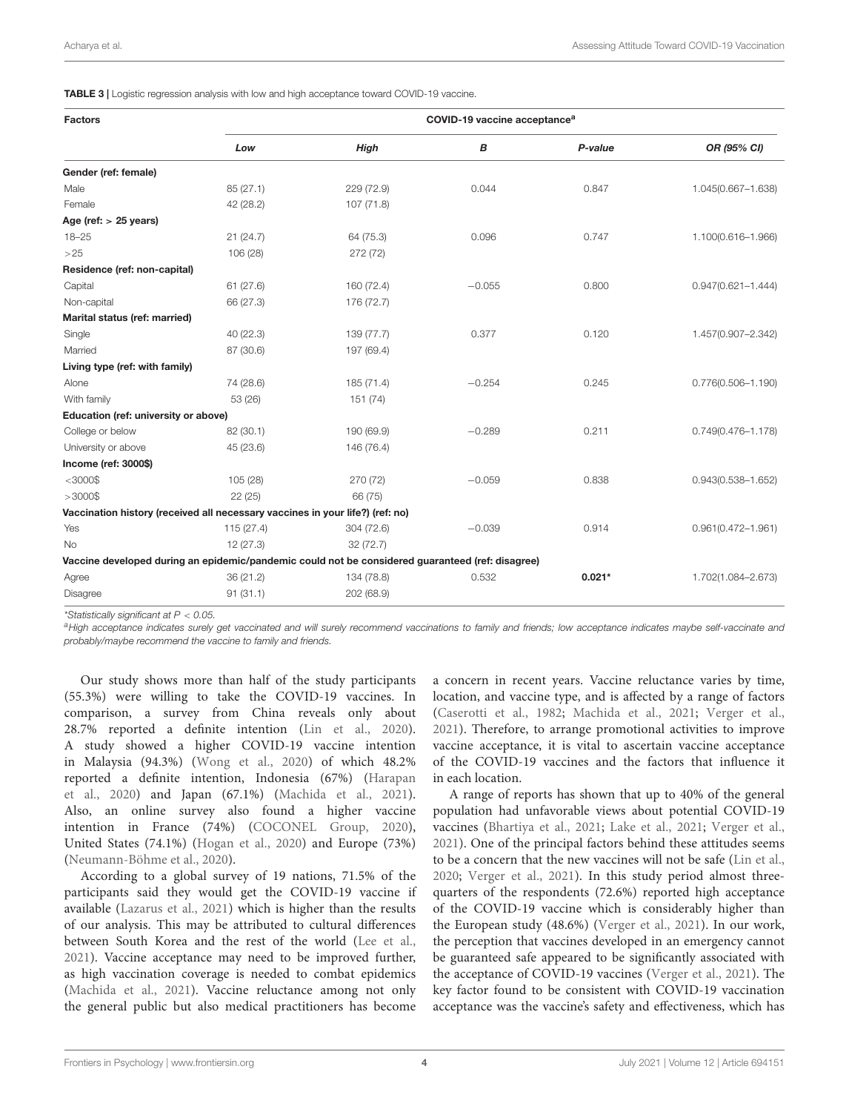<span id="page-3-0"></span>TABLE 3 | Logistic regression analysis with low and high acceptance toward COVID-19 vaccine.

| <b>Factors</b>                                                                                   | COVID-19 vaccine acceptance <sup>a</sup> |             |          |          |                        |  |
|--------------------------------------------------------------------------------------------------|------------------------------------------|-------------|----------|----------|------------------------|--|
|                                                                                                  | Low                                      | <b>High</b> | в        | P-value  | OR (95% CI)            |  |
| Gender (ref: female)                                                                             |                                          |             |          |          |                        |  |
| Male                                                                                             | 85 (27.1)                                | 229 (72.9)  | 0.044    | 0.847    | 1.045(0.667-1.638)     |  |
| Female                                                                                           | 42 (28.2)                                | 107(71.8)   |          |          |                        |  |
| Age (ref: $> 25$ years)                                                                          |                                          |             |          |          |                        |  |
| $18 - 25$                                                                                        | 21(24.7)                                 | 64 (75.3)   | 0.096    | 0.747    | 1.100(0.616-1.966)     |  |
| >25                                                                                              | 106 (28)                                 | 272 (72)    |          |          |                        |  |
| Residence (ref: non-capital)                                                                     |                                          |             |          |          |                        |  |
| Capital                                                                                          | 61(27.6)                                 | 160 (72.4)  | $-0.055$ | 0.800    | $0.947(0.621 - 1.444)$ |  |
| Non-capital                                                                                      | 66 (27.3)                                | 176 (72.7)  |          |          |                        |  |
| Marital status (ref: married)                                                                    |                                          |             |          |          |                        |  |
| Single                                                                                           | 40 (22.3)                                | 139(77.7)   | 0.377    | 0.120    | 1.457(0.907-2.342)     |  |
| Married                                                                                          | 87 (30.6)                                | 197 (69.4)  |          |          |                        |  |
| Living type (ref: with family)                                                                   |                                          |             |          |          |                        |  |
| Alone                                                                                            | 74 (28.6)                                | 185 (71.4)  | $-0.254$ | 0.245    | $0.776(0.506 - 1.190)$ |  |
| With family                                                                                      | 53 (26)                                  | 151 (74)    |          |          |                        |  |
| Education (ref: university or above)                                                             |                                          |             |          |          |                        |  |
| College or below                                                                                 | 82 (30.1)                                | 190 (69.9)  | $-0.289$ | 0.211    | $0.749(0.476 - 1.178)$ |  |
| University or above                                                                              | 45 (23.6)                                | 146 (76.4)  |          |          |                        |  |
| Income (ref: 3000\$)                                                                             |                                          |             |          |          |                        |  |
| $<$ 3000\$                                                                                       | 105 (28)                                 | 270 (72)    | $-0.059$ | 0.838    | $0.943(0.538 - 1.652)$ |  |
| $>3000$ \$                                                                                       | 22 (25)                                  | 66 (75)     |          |          |                        |  |
| Vaccination history (received all necessary vaccines in your life?) (ref: no)                    |                                          |             |          |          |                        |  |
| Yes                                                                                              | 115 (27.4)                               | 304 (72.6)  | $-0.039$ | 0.914    | $0.961(0.472 - 1.961)$ |  |
| <b>No</b>                                                                                        | 12 (27.3)                                | 32(72.7)    |          |          |                        |  |
| Vaccine developed during an epidemic/pandemic could not be considered guaranteed (ref: disagree) |                                          |             |          |          |                        |  |
| Agree                                                                                            | 36 (21.2)                                | 134 (78.8)  | 0.532    | $0.021*$ | 1.702(1.084-2.673)     |  |
| Disagree                                                                                         | 91(31.1)                                 | 202 (68.9)  |          |          |                        |  |

\*Statistically significant at  $P < 0.05$ .

aHigh acceptance indicates surely get vaccinated and will surely recommend vaccinations to family and friends; low acceptance indicates maybe self-vaccinate and probably/maybe recommend the vaccine to family and friends.

Our study shows more than half of the study participants (55.3%) were willing to take the COVID-19 vaccines. In comparison, a survey from China reveals only about 28.7% reported a definite intention [\(Lin et al.,](#page-5-4) [2020\)](#page-5-4). A study showed a higher COVID-19 vaccine intention in Malaysia (94.3%) [\(Wong et al.,](#page-5-11) [2020\)](#page-5-11) of which 48.2% reported a definite intention, Indonesia (67%) [\(Harapan](#page-4-11) [et al.,](#page-4-11) [2020\)](#page-4-11) and Japan (67.1%) [\(Machida et al.,](#page-5-1) [2021\)](#page-5-1). Also, an online survey also found a higher vaccine intention in France (74%) [\(COCONEL Group,](#page-4-6) [2020\)](#page-4-6), United States (74.1%) [\(Hogan et al.,](#page-4-10) [2020\)](#page-4-10) and Europe (73%) [\(Neumann-Böhme et al.,](#page-5-12) [2020\)](#page-5-12).

According to a global survey of 19 nations, 71.5% of the participants said they would get the COVID-19 vaccine if available [\(Lazarus et al.,](#page-5-5) [2021\)](#page-5-5) which is higher than the results of our analysis. This may be attributed to cultural differences between South Korea and the rest of the world [\(Lee et al.,](#page-5-13) [2021\)](#page-5-13). Vaccine acceptance may need to be improved further, as high vaccination coverage is needed to combat epidemics [\(Machida et al.,](#page-5-1) [2021\)](#page-5-1). Vaccine reluctance among not only the general public but also medical practitioners has become a concern in recent years. Vaccine reluctance varies by time, location, and vaccine type, and is affected by a range of factors [\(Caserotti et al.,](#page-4-1) [1982;](#page-4-1) [Machida et al.,](#page-5-1) [2021;](#page-5-1) [Verger et al.,](#page-5-10) [2021\)](#page-5-10). Therefore, to arrange promotional activities to improve vaccine acceptance, it is vital to ascertain vaccine acceptance of the COVID-19 vaccines and the factors that influence it in each location.

A range of reports has shown that up to 40% of the general population had unfavorable views about potential COVID-19 vaccines [\(Bhartiya et al.,](#page-4-5) [2021;](#page-4-5) [Lake et al.,](#page-5-3) [2021;](#page-5-3) [Verger et al.,](#page-5-10) [2021\)](#page-5-10). One of the principal factors behind these attitudes seems to be a concern that the new vaccines will not be safe [\(Lin et al.,](#page-5-4) [2020;](#page-5-4) [Verger et al.,](#page-5-10) [2021\)](#page-5-10). In this study period almost threequarters of the respondents (72.6%) reported high acceptance of the COVID-19 vaccine which is considerably higher than the European study (48.6%) [\(Verger et al.,](#page-5-10) [2021\)](#page-5-10). In our work, the perception that vaccines developed in an emergency cannot be guaranteed safe appeared to be significantly associated with the acceptance of COVID-19 vaccines [\(Verger et al.,](#page-5-10) [2021\)](#page-5-10). The key factor found to be consistent with COVID-19 vaccination acceptance was the vaccine's safety and effectiveness, which has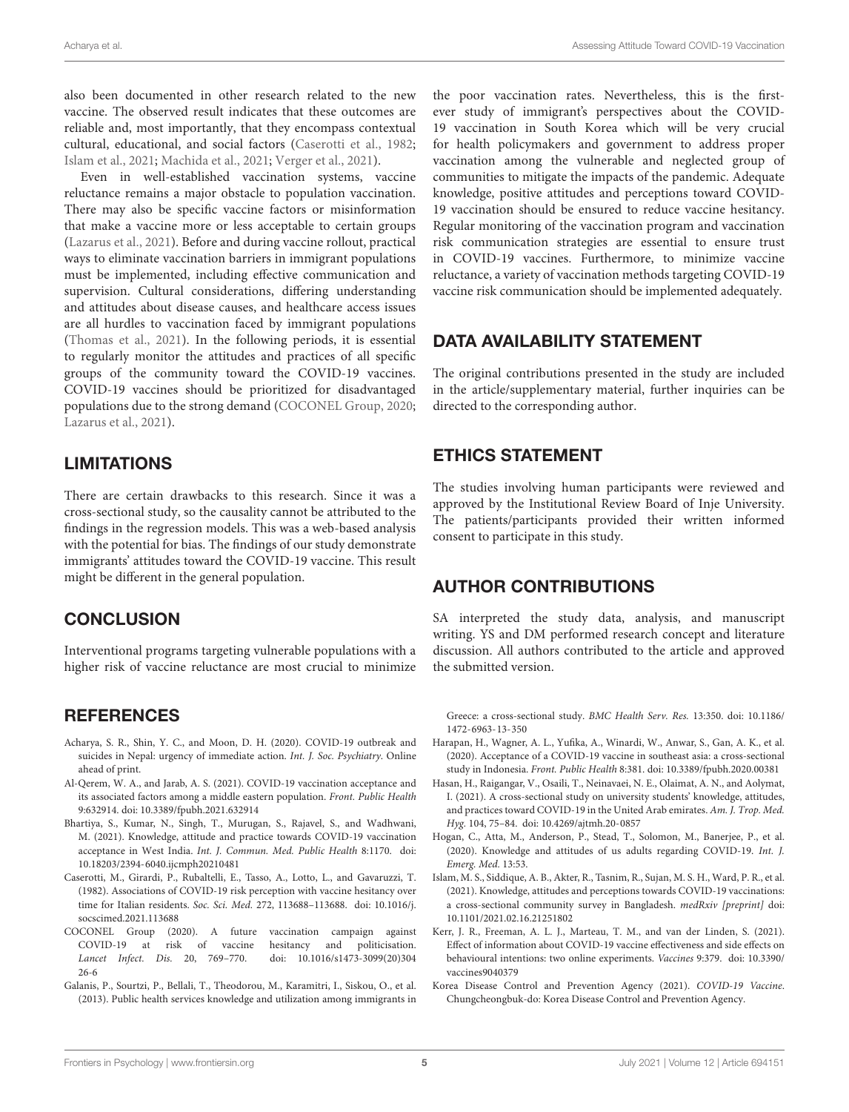also been documented in other research related to the new vaccine. The observed result indicates that these outcomes are reliable and, most importantly, that they encompass contextual cultural, educational, and social factors [\(Caserotti et al.,](#page-4-1) [1982;](#page-4-1) [Islam et al.,](#page-4-0) [2021;](#page-4-0) [Machida et al.,](#page-5-1) [2021;](#page-5-1) [Verger et al.,](#page-5-10) [2021\)](#page-5-10).

Even in well-established vaccination systems, vaccine reluctance remains a major obstacle to population vaccination. There may also be specific vaccine factors or misinformation that make a vaccine more or less acceptable to certain groups [\(Lazarus et al.,](#page-5-5) [2021\)](#page-5-5). Before and during vaccine rollout, practical ways to eliminate vaccination barriers in immigrant populations must be implemented, including effective communication and supervision. Cultural considerations, differing understanding and attitudes about disease causes, and healthcare access issues are all hurdles to vaccination faced by immigrant populations [\(Thomas et al.,](#page-5-2) [2021\)](#page-5-2). In the following periods, it is essential to regularly monitor the attitudes and practices of all specific groups of the community toward the COVID-19 vaccines. COVID-19 vaccines should be prioritized for disadvantaged populations due to the strong demand [\(COCONEL Group,](#page-4-6) [2020;](#page-4-6) [Lazarus et al.,](#page-5-5) [2021\)](#page-5-5).

# LIMITATIONS

There are certain drawbacks to this research. Since it was a cross-sectional study, so the causality cannot be attributed to the findings in the regression models. This was a web-based analysis with the potential for bias. The findings of our study demonstrate immigrants' attitudes toward the COVID-19 vaccine. This result might be different in the general population.

## **CONCLUSION**

Interventional programs targeting vulnerable populations with a higher risk of vaccine reluctance are most crucial to minimize

## **REFERENCES**

- <span id="page-4-2"></span>Acharya, S. R., Shin, Y. C., and Moon, D. H. (2020). COVID-19 outbreak and suicides in Nepal: urgency of immediate action. Int. J. Soc. Psychiatry. Online ahead of print.
- <span id="page-4-4"></span>Al-Qerem, W. A., and Jarab, A. S. (2021). COVID-19 vaccination acceptance and its associated factors among a middle eastern population. Front. Public Health 9:632914. [doi: 10.3389/fpubh.2021.632914](https://doi.org/10.3389/fpubh.2021.632914)
- <span id="page-4-5"></span>Bhartiya, S., Kumar, N., Singh, T., Murugan, S., Rajavel, S., and Wadhwani, M. (2021). Knowledge, attitude and practice towards COVID-19 vaccination acceptance in West India. Int. J. Commun. Med. Public Health 8:1170. [doi:](https://doi.org/10.18203/2394-6040.ijcmph20210481) [10.18203/2394-6040.ijcmph20210481](https://doi.org/10.18203/2394-6040.ijcmph20210481)
- <span id="page-4-1"></span>Caserotti, M., Girardi, P., Rubaltelli, E., Tasso, A., Lotto, L., and Gavaruzzi, T. (1982). Associations of COVID-19 risk perception with vaccine hesitancy over time for Italian residents. Soc. Sci. Med. 272, 113688–113688. [doi: 10.1016/j.](https://doi.org/10.1016/j.socscimed.2021.113688) [socscimed.2021.113688](https://doi.org/10.1016/j.socscimed.2021.113688)
- <span id="page-4-6"></span>COCONEL Group (2020). A future vaccination campaign against COVID-19 at risk of vaccine hesitancy and politicisation. Lancet Infect. Dis. 20, 769–770. [doi: 10.1016/s1473-3099\(20\)304](https://doi.org/10.1016/s1473-3099(20)30426-6) [26-6](https://doi.org/10.1016/s1473-3099(20)30426-6)
- <span id="page-4-8"></span>Galanis, P., Sourtzi, P., Bellali, T., Theodorou, M., Karamitri, I., Siskou, O., et al. (2013). Public health services knowledge and utilization among immigrants in

the poor vaccination rates. Nevertheless, this is the firstever study of immigrant's perspectives about the COVID-19 vaccination in South Korea which will be very crucial for health policymakers and government to address proper vaccination among the vulnerable and neglected group of communities to mitigate the impacts of the pandemic. Adequate knowledge, positive attitudes and perceptions toward COVID-19 vaccination should be ensured to reduce vaccine hesitancy. Regular monitoring of the vaccination program and vaccination risk communication strategies are essential to ensure trust in COVID-19 vaccines. Furthermore, to minimize vaccine reluctance, a variety of vaccination methods targeting COVID-19 vaccine risk communication should be implemented adequately.

## DATA AVAILABILITY STATEMENT

The original contributions presented in the study are included in the article/supplementary material, further inquiries can be directed to the corresponding author.

## ETHICS STATEMENT

The studies involving human participants were reviewed and approved by the Institutional Review Board of Inje University. The patients/participants provided their written informed consent to participate in this study.

## AUTHOR CONTRIBUTIONS

SA interpreted the study data, analysis, and manuscript writing. YS and DM performed research concept and literature discussion. All authors contributed to the article and approved the submitted version.

Greece: a cross-sectional study. BMC Health Serv. Res. 13:350. [doi: 10.1186/](https://doi.org/10.1186/1472-6963-13-350) [1472-6963-13-350](https://doi.org/10.1186/1472-6963-13-350)

- <span id="page-4-11"></span>Harapan, H., Wagner, A. L., Yufika, A., Winardi, W., Anwar, S., Gan, A. K., et al. (2020). Acceptance of a COVID-19 vaccine in southeast asia: a cross-sectional study in Indonesia. Front. Public Health 8:381. [doi: 10.3389/fpubh.2020.00381](https://doi.org/10.3389/fpubh.2020.00381)
- <span id="page-4-9"></span>Hasan, H., Raigangar, V., Osaili, T., Neinavaei, N. E., Olaimat, A. N., and Aolymat, I. (2021). A cross-sectional study on university students' knowledge, attitudes, and practices toward COVID-19 in the United Arab emirates. Am. J. Trop. Med. Hyg. 104, 75–84. [doi: 10.4269/ajtmh.20-0857](https://doi.org/10.4269/ajtmh.20-0857)
- <span id="page-4-10"></span>Hogan, C., Atta, M., Anderson, P., Stead, T., Solomon, M., Banerjee, P., et al. (2020). Knowledge and attitudes of us adults regarding COVID-19. Int. J. Emerg. Med. 13:53.
- <span id="page-4-0"></span>Islam, M. S., Siddique, A. B., Akter, R., Tasnim, R., Sujan, M. S. H., Ward, P. R., et al. (2021). Knowledge, attitudes and perceptions towards COVID-19 vaccinations: a cross-sectional community survey in Bangladesh. medRxiv [preprint] [doi:](https://doi.org/10.1101/2021.02.16.21251802) [10.1101/2021.02.16.21251802](https://doi.org/10.1101/2021.02.16.21251802)
- <span id="page-4-7"></span>Kerr, J. R., Freeman, A. L. J., Marteau, T. M., and van der Linden, S. (2021). Effect of information about COVID-19 vaccine effectiveness and side effects on behavioural intentions: two online experiments. Vaccines 9:379. [doi: 10.3390/](https://doi.org/10.3390/vaccines9040379) [vaccines9040379](https://doi.org/10.3390/vaccines9040379)
- <span id="page-4-3"></span>Korea Disease Control and Prevention Agency (2021). COVID-19 Vaccine. Chungcheongbuk-do: Korea Disease Control and Prevention Agency.